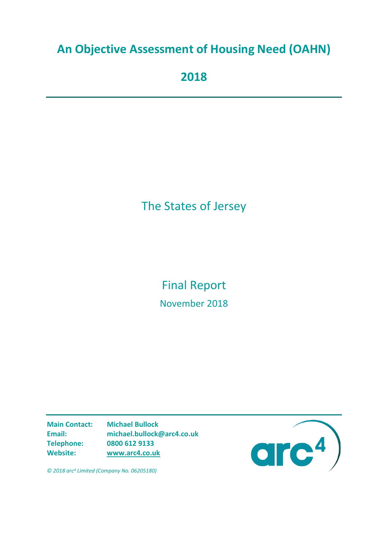# **An Objective Assessment of Housing Need (OAHN)**

**2018**

# The States of Jersey

Final Report November 2018

**Main Contact: Michael Bullock Email: michael.bullock@arc4.co.uk Telephone: 0800 612 9133 Website: [www.arc4.co.uk](http://www.arc4.co.uk/)**



*© 2018 arc4 Limited (Company No. 06205180)*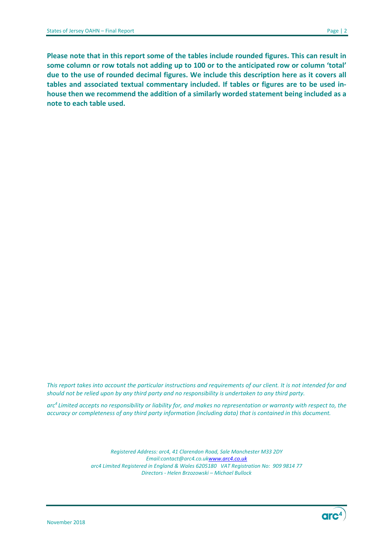**Please note that in this report some of the tables include rounded figures. This can result in some column or row totals not adding up to 100 or to the anticipated row or column 'total' due to the use of rounded decimal figures. We include this description here as it covers all tables and associated textual commentary included. If tables or figures are to be used inhouse then we recommend the addition of a similarly worded statement being included as a note to each table used.**

This report takes into account the particular instructions and requirements of our client. It is not intended for and *should not be relied upon by any third party and no responsibility is undertaken to any third party.*

*arc4 Limited accepts no responsibility or liability for, and makes no representation or warranty with respect to, the accuracy or completeness of any third party information (including data) that is contained in this document.*

> *Registered Address: arc4, 41 Clarendon Road, Sale Manchester M33 2DY Email[:contact@arc4.co.uk](mailto:contact@arc4.co.uk)[www.arc4.co.uk](http://www.arc4.co.uk/) arc4 Limited Registered in England & Wales 6205180 VAT Registration No: 909 9814 77 Directors - Helen Brzozowski – Michael Bullock*

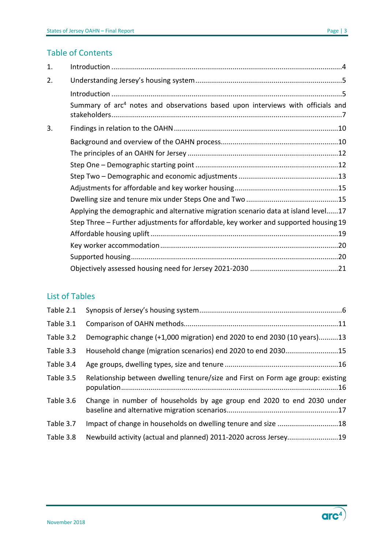#### Table of Contents

| 1. |                                                                                             |
|----|---------------------------------------------------------------------------------------------|
| 2. |                                                                                             |
|    |                                                                                             |
|    | Summary of arc <sup>4</sup> notes and observations based upon interviews with officials and |
| 3. |                                                                                             |
|    |                                                                                             |
|    |                                                                                             |
|    |                                                                                             |
|    |                                                                                             |
|    |                                                                                             |
|    |                                                                                             |
|    | Applying the demographic and alternative migration scenario data at island level17          |
|    | Step Three – Further adjustments for affordable, key worker and supported housing 19        |
|    |                                                                                             |
|    |                                                                                             |
|    |                                                                                             |
|    |                                                                                             |

#### List of Tables

| Table 2.1 |                                                                                 |
|-----------|---------------------------------------------------------------------------------|
| Table 3.1 |                                                                                 |
| Table 3.2 | Demographic change (+1,000 migration) end 2020 to end 2030 (10 years)13         |
| Table 3.3 | Household change (migration scenarios) end 2020 to end 203015                   |
| Table 3.4 |                                                                                 |
| Table 3.5 | Relationship between dwelling tenure/size and First on Form age group: existing |
| Table 3.6 | Change in number of households by age group end 2020 to end 2030 under          |
| Table 3.7 | Impact of change in households on dwelling tenure and size 18                   |
| Table 3.8 | Newbuild activity (actual and planned) 2011-2020 across Jersey19                |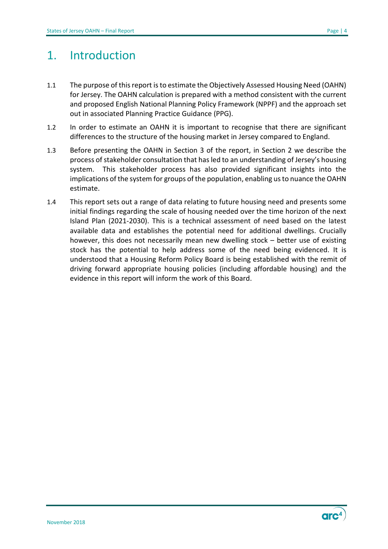## <span id="page-3-0"></span>1. Introduction

- 1.1 The purpose of this report is to estimate the Objectively Assessed Housing Need (OAHN) for Jersey. The OAHN calculation is prepared with a method consistent with the current and proposed English National Planning Policy Framework (NPPF) and the approach set out in associated Planning Practice Guidance (PPG).
- 1.2 In order to estimate an OAHN it is important to recognise that there are significant differences to the structure of the housing market in Jersey compared to England.
- 1.3 Before presenting the OAHN in Section 3 of the report, in Section 2 we describe the process of stakeholder consultation that has led to an understanding of Jersey's housing system. This stakeholder process has also provided significant insights into the implications of the system for groups of the population, enabling us to nuance the OAHN estimate.
- 1.4 This report sets out a range of data relating to future housing need and presents some initial findings regarding the scale of housing needed over the time horizon of the next Island Plan (2021-2030). This is a technical assessment of need based on the latest available data and establishes the potential need for additional dwellings. Crucially however, this does not necessarily mean new dwelling stock – better use of existing stock has the potential to help address some of the need being evidenced. It is understood that a Housing Reform Policy Board is being established with the remit of driving forward appropriate housing policies (including affordable housing) and the evidence in this report will inform the work of this Board.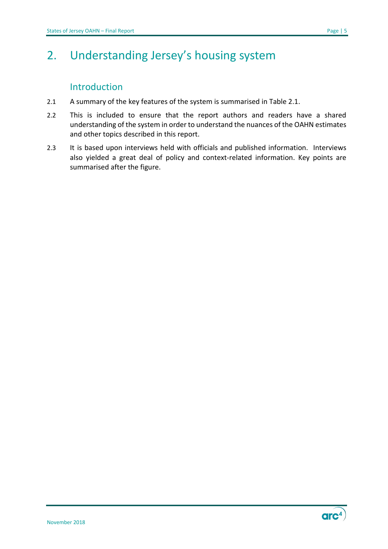# <span id="page-4-0"></span>2. Understanding Jersey's housing system

### Introduction

- <span id="page-4-1"></span>2.1 A summary of the key features of the system is summarised in Table 2.1.
- 2.2 This is included to ensure that the report authors and readers have a shared understanding of the system in order to understand the nuances of the OAHN estimates and other topics described in this report.
- 2.3 It is based upon interviews held with officials and published information. Interviews also yielded a great deal of policy and context-related information. Key points are summarised after the figure.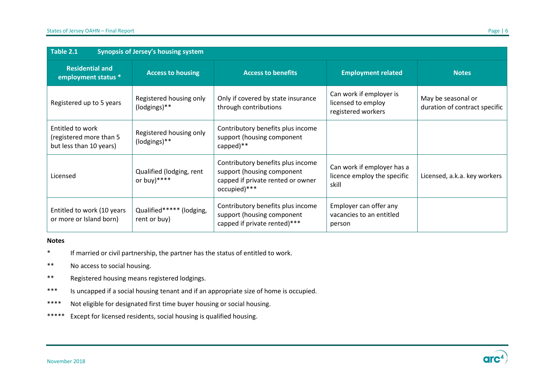| Table 2.1<br><b>Synopsis of Jersey's housing system</b>                |                                           |                                                                                                                      |                                                                     |                                                     |  |  |  |
|------------------------------------------------------------------------|-------------------------------------------|----------------------------------------------------------------------------------------------------------------------|---------------------------------------------------------------------|-----------------------------------------------------|--|--|--|
| <b>Residential and</b><br>employment status *                          | <b>Access to housing</b>                  | <b>Access to benefits</b>                                                                                            | <b>Employment related</b>                                           | <b>Notes</b>                                        |  |  |  |
| Registered up to 5 years                                               | Registered housing only<br>(lodgings)**   | Only if covered by state insurance<br>through contributions                                                          | Can work if employer is<br>licensed to employ<br>registered workers | May be seasonal or<br>duration of contract specific |  |  |  |
| Entitled to work<br>(registered more than 5<br>but less than 10 years) | Registered housing only<br>(lodgings)**   | Contributory benefits plus income<br>support (housing component<br>capped) $**$                                      |                                                                     |                                                     |  |  |  |
| Licensed                                                               | Qualified (lodging, rent<br>or buy)****   | Contributory benefits plus income<br>support (housing component<br>capped if private rented or owner<br>occupied)*** | Can work if employer has a<br>licence employ the specific<br>skill  | Licensed, a.k.a. key workers                        |  |  |  |
| Entitled to work (10 years<br>or more or Island born)                  | Qualified****** (lodging,<br>rent or buy) | Contributory benefits plus income<br>support (housing component<br>capped if private rented)***                      | Employer can offer any<br>vacancies to an entitled<br>person        |                                                     |  |  |  |

#### <span id="page-5-0"></span>**Notes**

- \* If married or civil partnership, the partner has the status of entitled to work.
- \*\* No access to social housing.
- \*\* Registered housing means registered lodgings.
- \*\*\* Is uncapped if a social housing tenant and if an appropriate size of home is occupied.
- \*\*\*\* Not eligible for designated first time buyer housing or social housing.
- \*\*\*\*\* Except for licensed residents, social housing is qualified housing.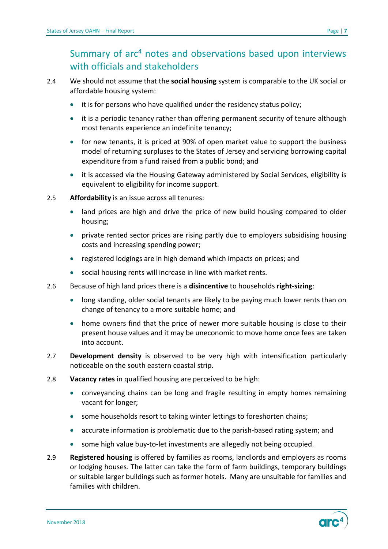- <span id="page-6-0"></span>2.4 We should not assume that the **social housing** system is comparable to the UK social or affordable housing system:
	- it is for persons who have qualified under the residency status policy;
	- it is a periodic tenancy rather than offering permanent security of tenure although most tenants experience an indefinite tenancy;
	- for new tenants, it is priced at 90% of open market value to support the business model of returning surpluses to the States of Jersey and servicing borrowing capital expenditure from a fund raised from a public bond; and
	- it is accessed via the Housing Gateway administered by Social Services, eligibility is equivalent to eligibility for income support.
- 2.5 **Affordability** is an issue across all tenures:
	- land prices are high and drive the price of new build housing compared to older housing;
	- private rented sector prices are rising partly due to employers subsidising housing costs and increasing spending power;
	- registered lodgings are in high demand which impacts on prices; and
	- social housing rents will increase in line with market rents.
- 2.6 Because of high land prices there is a **disincentive** to households **right-sizing**:
	- long standing, older social tenants are likely to be paying much lower rents than on change of tenancy to a more suitable home; and
	- home owners find that the price of newer more suitable housing is close to their present house values and it may be uneconomic to move home once fees are taken into account.
- 2.7 **Development density** is observed to be very high with intensification particularly noticeable on the south eastern coastal strip.
- 2.8 **Vacancy rates** in qualified housing are perceived to be high:
	- conveyancing chains can be long and fragile resulting in empty homes remaining vacant for longer;
	- some households resort to taking winter lettings to foreshorten chains;
	- accurate information is problematic due to the parish-based rating system; and
	- some high value buy-to-let investments are allegedly not being occupied.
- 2.9 **Registered housing** is offered by families as rooms, landlords and employers as rooms or lodging houses. The latter can take the form of farm buildings, temporary buildings or suitable larger buildings such as former hotels. Many are unsuitable for families and families with children.

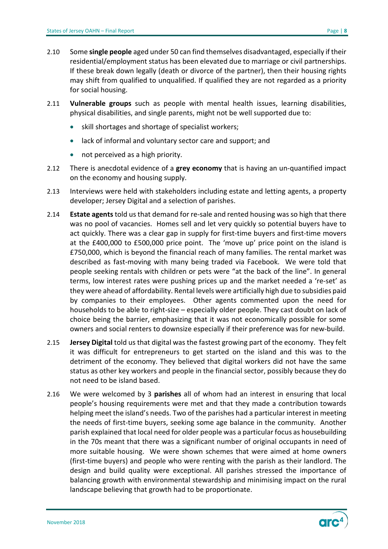- 2.10 Some **single people** aged under 50 can find themselves disadvantaged, especially if their residential/employment status has been elevated due to marriage or civil partnerships. If these break down legally (death or divorce of the partner), then their housing rights may shift from qualified to unqualified. If qualified they are not regarded as a priority for social housing.
- 2.11 **Vulnerable groups** such as people with mental health issues, learning disabilities, physical disabilities, and single parents, might not be well supported due to:
	- skill shortages and shortage of specialist workers;
	- lack of informal and voluntary sector care and support; and
	- not perceived as a high priority.
- 2.12 There is anecdotal evidence of a **grey economy** that is having an un-quantified impact on the economy and housing supply.
- 2.13 Interviews were held with stakeholders including estate and letting agents, a property developer; Jersey Digital and a selection of parishes.
- 2.14 **Estate agents** told us that demand for re-sale and rented housing was so high that there was no pool of vacancies. Homes sell and let very quickly so potential buyers have to act quickly. There was a clear gap in supply for first-time buyers and first-time movers at the £400,000 to £500,000 price point. The 'move up' price point on the island is £750,000, which is beyond the financial reach of many families. The rental market was described as fast-moving with many being traded via Facebook. We were told that people seeking rentals with children or pets were "at the back of the line". In general terms, low interest rates were pushing prices up and the market needed a 're-set' as they were ahead of affordability. Rental levels were artificially high due to subsidies paid by companies to their employees. Other agents commented upon the need for households to be able to right-size – especially older people. They cast doubt on lack of choice being the barrier, emphasizing that it was not economically possible for some owners and social renters to downsize especially if their preference was for new-build.
- 2.15 **Jersey Digital** told us that digital was the fastest growing part of the economy. They felt it was difficult for entrepreneurs to get started on the island and this was to the detriment of the economy. They believed that digital workers did not have the same status as other key workers and people in the financial sector, possibly because they do not need to be island based.
- 2.16 We were welcomed by 3 **parishes** all of whom had an interest in ensuring that local people's housing requirements were met and that they made a contribution towards helping meet the island's needs. Two of the parishes had a particular interest in meeting the needs of first-time buyers, seeking some age balance in the community. Another parish explained that local need for older people was a particular focus as housebuilding in the 70s meant that there was a significant number of original occupants in need of more suitable housing. We were shown schemes that were aimed at home owners (first-time buyers) and people who were renting with the parish as their landlord. The design and build quality were exceptional. All parishes stressed the importance of balancing growth with environmental stewardship and minimising impact on the rural landscape believing that growth had to be proportionate.

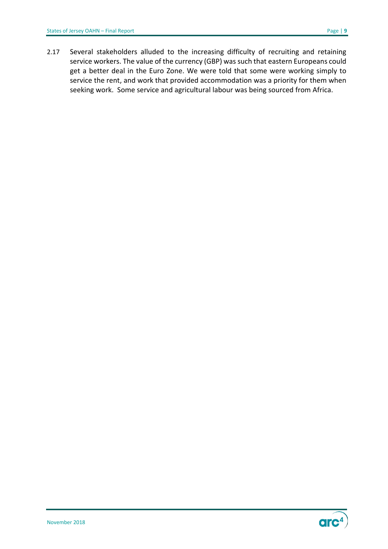2.17 Several stakeholders alluded to the increasing difficulty of recruiting and retaining service workers. The value of the currency (GBP) was such that eastern Europeans could get a better deal in the Euro Zone. We were told that some were working simply to service the rent, and work that provided accommodation was a priority for them when seeking work. Some service and agricultural labour was being sourced from Africa.

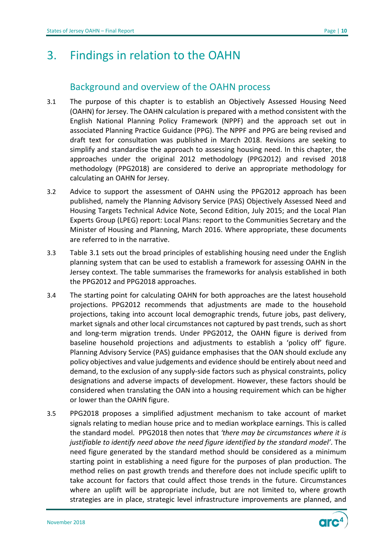## <span id="page-9-0"></span>3. Findings in relation to the OAHN

### Background and overview of the OAHN process

- <span id="page-9-1"></span>3.1 The purpose of this chapter is to establish an Objectively Assessed Housing Need (OAHN) for Jersey. The OAHN calculation is prepared with a method consistent with the English National Planning Policy Framework (NPPF) and the approach set out in associated Planning Practice Guidance (PPG). The NPPF and PPG are being revised and draft text for consultation was published in March 2018. Revisions are seeking to simplify and standardise the approach to assessing housing need. In this chapter, the approaches under the original 2012 methodology (PPG2012) and revised 2018 methodology (PPG2018) are considered to derive an appropriate methodology for calculating an OAHN for Jersey.
- 3.2 Advice to support the assessment of OAHN using the PPG2012 approach has been published, namely the Planning Advisory Service (PAS) Objectively Assessed Need and Housing Targets Technical Advice Note, Second Edition, July 2015; and the Local Plan Experts Group (LPEG) report: Local Plans: report to the Communities Secretary and the Minister of Housing and Planning, March 2016. Where appropriate, these documents are referred to in the narrative.
- 3.3 Table 3.1 sets out the broad principles of establishing housing need under the English planning system that can be used to establish a framework for assessing OAHN in the Jersey context. The table summarises the frameworks for analysis established in both the PPG2012 and PPG2018 approaches.
- 3.4 The starting point for calculating OAHN for both approaches are the latest household projections. PPG2012 recommends that adjustments are made to the household projections, taking into account local demographic trends, future jobs, past delivery, market signals and other local circumstances not captured by past trends, such as short and long-term migration trends. Under PPG2012, the OAHN figure is derived from baseline household projections and adjustments to establish a 'policy off' figure. Planning Advisory Service (PAS) guidance emphasises that the OAN should exclude any policy objectives and value judgements and evidence should be entirely about need and demand, to the exclusion of any supply-side factors such as physical constraints, policy designations and adverse impacts of development. However, these factors should be considered when translating the OAN into a housing requirement which can be higher or lower than the OAHN figure.
- 3.5 PPG2018 proposes a simplified adjustment mechanism to take account of market signals relating to median house price and to median workplace earnings. This is called the standard model. PPG2018 then notes that *'there may be circumstances where it is justifiable to identify need above the need figure identified by the standard model'*. The need figure generated by the standard method should be considered as a minimum starting point in establishing a need figure for the purposes of plan production. The method relies on past growth trends and therefore does not include specific uplift to take account for factors that could affect those trends in the future. Circumstances where an uplift will be appropriate include, but are not limited to, where growth strategies are in place, strategic level infrastructure improvements are planned, and



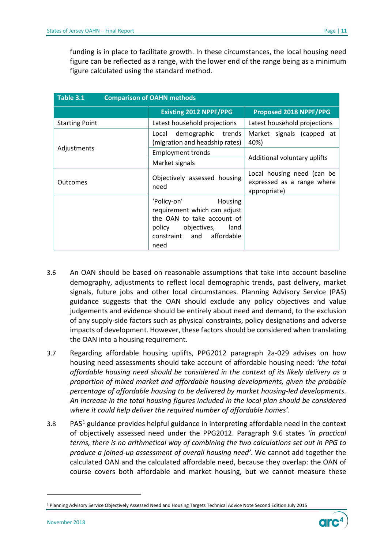funding is in place to facilitate growth. In these circumstances, the local housing need figure can be reflected as a range, with the lower end of the range being as a minimum figure calculated using the standard method.

<span id="page-10-0"></span>

| Table 3.1             | <b>Comparison of OAHN methods</b>                                                                                                                          |                                                                          |  |  |  |  |
|-----------------------|------------------------------------------------------------------------------------------------------------------------------------------------------------|--------------------------------------------------------------------------|--|--|--|--|
|                       | <b>Existing 2012 NPPF/PPG</b>                                                                                                                              | Proposed 2018 NPPF/PPG                                                   |  |  |  |  |
| <b>Starting Point</b> | Latest household projections                                                                                                                               | Latest household projections                                             |  |  |  |  |
|                       | demographic<br>trends<br>Local<br>(migration and headship rates)                                                                                           | Market signals (capped at<br>40%)                                        |  |  |  |  |
| Adjustments           | <b>Employment trends</b>                                                                                                                                   | Additional voluntary uplifts                                             |  |  |  |  |
|                       | Market signals                                                                                                                                             |                                                                          |  |  |  |  |
| <b>Outcomes</b>       | Objectively assessed housing<br>need                                                                                                                       | Local housing need (can be<br>expressed as a range where<br>appropriate) |  |  |  |  |
|                       | 'Policy-on'<br>Housing<br>requirement which can adjust<br>the OAN to take account of<br>policy<br>objectives,<br>land<br>constraint and affordable<br>need |                                                                          |  |  |  |  |

- 3.6 An OAN should be based on reasonable assumptions that take into account baseline demography, adjustments to reflect local demographic trends, past delivery, market signals, future jobs and other local circumstances. Planning Advisory Service (PAS) guidance suggests that the OAN should exclude any policy objectives and value judgements and evidence should be entirely about need and demand, to the exclusion of any supply-side factors such as physical constraints, policy designations and adverse impacts of development. However, these factors should be considered when translating the OAN into a housing requirement.
- 3.7 Regarding affordable housing uplifts, PPG2012 paragraph 2a-029 advises on how housing need assessments should take account of affordable housing need: *'the total affordable housing need should be considered in the context of its likely delivery as a proportion of mixed market and affordable housing developments, given the probable percentage of affordable housing to be delivered by market housing-led developments. An increase in the total housing figures included in the local plan should be considered where it could help deliver the required number of affordable homes'*.
- 3.8 PAS<sup>[1](#page-10-1)</sup> guidance provides helpful guidance in interpreting affordable need in the context of objectively assessed need under the PPG2012. Paragraph 9.6 states *'in practical terms, there is no arithmetical way of combining the two calculations set out in PPG to produce a joined-up assessment of overall housing need'*. We cannot add together the calculated OAN and the calculated affordable need, because they overlap: the OAN of course covers both affordable and market housing, but we cannot measure these

1



<span id="page-10-1"></span><sup>1</sup> Planning Advisory Service Objectively Assessed Need and Housing Targets Technical Advice Note Second Edition July 2015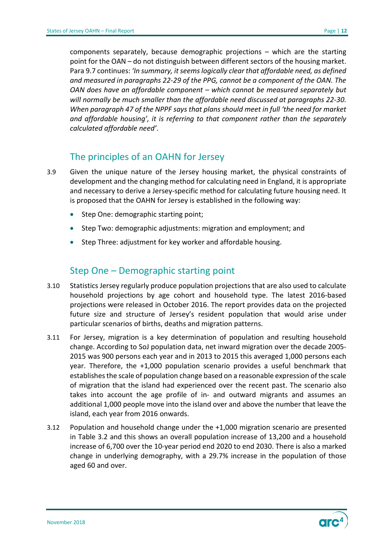components separately, because demographic projections – which are the starting point for the OAN – do not distinguish between different sectors of the housing market. Para 9.7 continues: *'In summary, it seems logically clear that affordable need, as defined and measured in paragraphs 22-29 of the PPG, cannot be a component of the OAN. The OAN does have an affordable component – which cannot be measured separately but will normally be much smaller than the affordable need discussed at paragraphs 22-30. When paragraph 47 of the NPPF says that plans should meet in full 'the need for market and affordable housing', it is referring to that component rather than the separately calculated affordable need'*.

### The principles of an OAHN for Jersey

- <span id="page-11-0"></span>3.9 Given the unique nature of the Jersey housing market, the physical constraints of development and the changing method for calculating need in England, it is appropriate and necessary to derive a Jersey-specific method for calculating future housing need. It is proposed that the OAHN for Jersey is established in the following way:
	- Step One: demographic starting point;
	- Step Two: demographic adjustments: migration and employment; and
	- Step Three: adjustment for key worker and affordable housing.

#### Step One – Demographic starting point

- <span id="page-11-1"></span>3.10 Statistics Jersey regularly produce population projections that are also used to calculate household projections by age cohort and household type. The latest 2016-based projections were released in October 2016. The report provides data on the projected future size and structure of Jersey's resident population that would arise under particular scenarios of births, deaths and migration patterns.
- 3.11 For Jersey, migration is a key determination of population and resulting household change. According to SoJ population data, net inward migration over the decade 2005- 2015 was 900 persons each year and in 2013 to 2015 this averaged 1,000 persons each year. Therefore, the +1,000 population scenario provides a useful benchmark that establishes the scale of population change based on a reasonable expression of the scale of migration that the island had experienced over the recent past. The scenario also takes into account the age profile of in- and outward migrants and assumes an additional 1,000 people move into the island over and above the number that leave the island, each year from 2016 onwards.
- 3.12 Population and household change under the +1,000 migration scenario are presented in Table 3.2 and this shows an overall population increase of 13,200 and a household increase of 6,700 over the 10-year period end 2020 to end 2030. There is also a marked change in underlying demography, with a 29.7% increase in the population of those aged 60 and over.

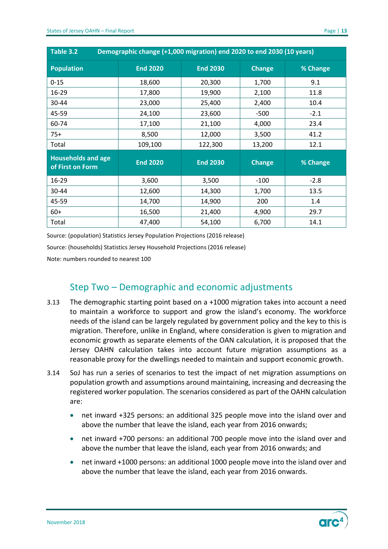<span id="page-12-1"></span>

| Demographic change (+1,000 migration) end 2020 to end 2030 (10 years)<br>Table 3.2 |                 |                 |               |          |  |  |
|------------------------------------------------------------------------------------|-----------------|-----------------|---------------|----------|--|--|
| <b>Population</b>                                                                  | <b>End 2020</b> | <b>End 2030</b> | <b>Change</b> | % Change |  |  |
| $0 - 15$                                                                           | 18,600          | 20,300          | 1,700         | 9.1      |  |  |
| 16-29                                                                              | 17,800          | 19,900          | 2,100         | 11.8     |  |  |
| 30-44                                                                              | 23,000          | 25,400          | 2,400         | 10.4     |  |  |
| 45-59                                                                              | 24,100          | 23,600          | $-500$        | $-2.1$   |  |  |
| 60-74                                                                              | 17,100          | 21,100          | 4,000         | 23.4     |  |  |
| $75+$                                                                              | 8,500           | 12,000          | 3,500         | 41.2     |  |  |
| Total                                                                              | 109,100         | 122,300         | 13,200        | 12.1     |  |  |
| <b>Households and age</b><br>of First on Form                                      | <b>End 2020</b> | <b>End 2030</b> | <b>Change</b> | % Change |  |  |
| 16-29                                                                              | 3,600           | 3,500           | $-100$        | $-2.8$   |  |  |
| 30-44                                                                              | 12,600          | 14,300          | 1,700         | 13.5     |  |  |
| 45-59                                                                              | 14,700          | 14,900          | 200           | 1.4      |  |  |
| $60+$                                                                              | 16,500          | 21,400          | 4,900         | 29.7     |  |  |
| Total                                                                              | 47,400          | 54,100          | 6,700         | 14.1     |  |  |

Source: (population) Statistics Jersey Population Projections (2016 release)

Source: (households) Statistics Jersey Household Projections (2016 release)

Note: numbers rounded to nearest 100

#### Step Two – Demographic and economic adjustments

- <span id="page-12-0"></span>3.13 The demographic starting point based on a +1000 migration takes into account a need to maintain a workforce to support and grow the island's economy. The workforce needs of the island can be largely regulated by government policy and the key to this is migration. Therefore, unlike in England, where consideration is given to migration and economic growth as separate elements of the OAN calculation, it is proposed that the Jersey OAHN calculation takes into account future migration assumptions as a reasonable proxy for the dwellings needed to maintain and support economic growth.
- 3.14 SoJ has run a series of scenarios to test the impact of net migration assumptions on population growth and assumptions around maintaining, increasing and decreasing the registered worker population. The scenarios considered as part of the OAHN calculation are:
	- net inward +325 persons: an additional 325 people move into the island over and above the number that leave the island, each year from 2016 onwards;
	- net inward +700 persons: an additional 700 people move into the island over and above the number that leave the island, each year from 2016 onwards; and
	- net inward +1000 persons: an additional 1000 people move into the island over and above the number that leave the island, each year from 2016 onwards.

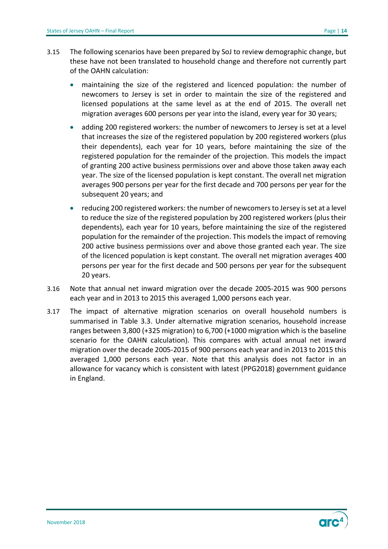- 3.15 The following scenarios have been prepared by SoJ to review demographic change, but these have not been translated to household change and therefore not currently part of the OAHN calculation:
	- maintaining the size of the registered and licenced population: the number of newcomers to Jersey is set in order to maintain the size of the registered and licensed populations at the same level as at the end of 2015. The overall net migration averages 600 persons per year into the island, every year for 30 years;
	- adding 200 registered workers: the number of newcomers to Jersey is set at a level that increases the size of the registered population by 200 registered workers (plus their dependents), each year for 10 years, before maintaining the size of the registered population for the remainder of the projection. This models the impact of granting 200 active business permissions over and above those taken away each year. The size of the licensed population is kept constant. The overall net migration averages 900 persons per year for the first decade and 700 persons per year for the subsequent 20 years; and
	- reducing 200 registered workers: the number of newcomers to Jersey is set at a level to reduce the size of the registered population by 200 registered workers (plus their dependents), each year for 10 years, before maintaining the size of the registered population for the remainder of the projection. This models the impact of removing 200 active business permissions over and above those granted each year. The size of the licenced population is kept constant. The overall net migration averages 400 persons per year for the first decade and 500 persons per year for the subsequent 20 years.
- 3.16 Note that annual net inward migration over the decade 2005-2015 was 900 persons each year and in 2013 to 2015 this averaged 1,000 persons each year.
- 3.17 The impact of alternative migration scenarios on overall household numbers is summarised in Table 3.3. Under alternative migration scenarios, household increase ranges between 3,800 (+325 migration) to 6,700 (+1000 migration which is the baseline scenario for the OAHN calculation). This compares with actual annual net inward migration over the decade 2005-2015 of 900 persons each year and in 2013 to 2015 this averaged 1,000 persons each year. Note that this analysis does not factor in an allowance for vacancy which is consistent with latest (PPG2018) government guidance in England.

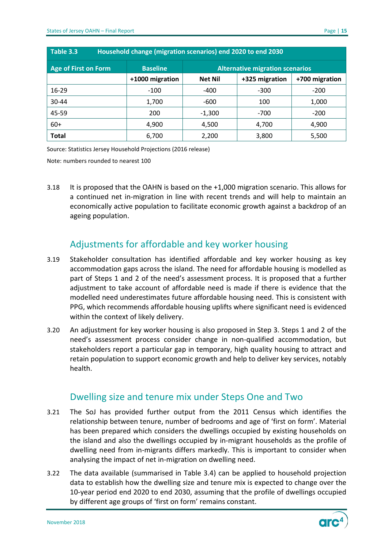<span id="page-14-2"></span>

| Household change (migration scenarios) end 2020 to end 2030<br>Table 3.3                 |                 |                |                |                |  |  |
|------------------------------------------------------------------------------------------|-----------------|----------------|----------------|----------------|--|--|
| <b>Age of First on Form</b><br><b>Alternative migration scenarios</b><br><b>Baseline</b> |                 |                |                |                |  |  |
|                                                                                          | +1000 migration | <b>Net Nil</b> | +325 migration | +700 migration |  |  |
| 16-29                                                                                    | $-100$          | -400           | $-300$         | $-200$         |  |  |
| $30 - 44$                                                                                | 1,700           | -600           | 100            | 1,000          |  |  |
| 45-59                                                                                    | 200             | $-1,300$       | $-700$         | $-200$         |  |  |
| $60+$                                                                                    | 4,900           | 4,500          | 4,700          | 4,900          |  |  |
| <b>Total</b>                                                                             | 6,700           | 2,200          | 3,800          | 5,500          |  |  |

Source: Statistics Jersey Household Projections (2016 release)

Note: numbers rounded to nearest 100

3.18 It is proposed that the OAHN is based on the +1,000 migration scenario. This allows for a continued net in-migration in line with recent trends and will help to maintain an economically active population to facilitate economic growth against a backdrop of an ageing population.

#### Adjustments for affordable and key worker housing

- <span id="page-14-0"></span>3.19 Stakeholder consultation has identified affordable and key worker housing as key accommodation gaps across the island. The need for affordable housing is modelled as part of Steps 1 and 2 of the need's assessment process. It is proposed that a further adjustment to take account of affordable need is made if there is evidence that the modelled need underestimates future affordable housing need. This is consistent with PPG, which recommends affordable housing uplifts where significant need is evidenced within the context of likely delivery.
- 3.20 An adjustment for key worker housing is also proposed in Step 3. Steps 1 and 2 of the need's assessment process consider change in non-qualified accommodation, but stakeholders report a particular gap in temporary, high quality housing to attract and retain population to support economic growth and help to deliver key services, notably health.

#### Dwelling size and tenure mix under Steps One and Two

- <span id="page-14-1"></span>3.21 The SoJ has provided further output from the 2011 Census which identifies the relationship between tenure, number of bedrooms and age of 'first on form'. Material has been prepared which considers the dwellings occupied by existing households on the island and also the dwellings occupied by in-migrant households as the profile of dwelling need from in-migrants differs markedly. This is important to consider when analysing the impact of net in-migration on dwelling need.
- 3.22 The data available (summarised in Table 3.4) can be applied to household projection data to establish how the dwelling size and tenure mix is expected to change over the 10-year period end 2020 to end 2030, assuming that the profile of dwellings occupied by different age groups of 'first on form' remains constant.

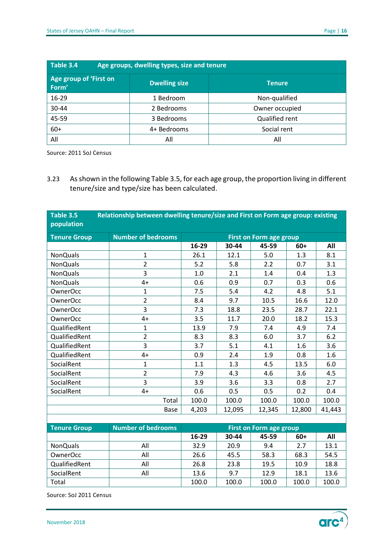<span id="page-15-0"></span>

| Table 3.4<br>Age groups, dwelling types, size and tenure |                      |                |  |  |  |
|----------------------------------------------------------|----------------------|----------------|--|--|--|
| Age group of 'First on<br>Form'                          | <b>Dwelling size</b> | <b>Tenure</b>  |  |  |  |
| 16-29                                                    | 1 Bedroom            | Non-qualified  |  |  |  |
| 30-44                                                    | 2 Bedrooms           | Owner occupied |  |  |  |
| 45-59                                                    | 3 Bedrooms           | Qualified rent |  |  |  |
| $60+$                                                    | 4+ Bedrooms          | Social rent    |  |  |  |
| All                                                      | All                  | All            |  |  |  |

Source: 2011 SoJ Census

3.23 As shown in the following Table 3.5, for each age group, the proportion living in different tenure/size and type/size has been calculated.

<span id="page-15-1"></span>

| Table 3.5<br>population | Relationship between dwelling tenure/size and First on Form age group: existing |       |        |                                |        |        |
|-------------------------|---------------------------------------------------------------------------------|-------|--------|--------------------------------|--------|--------|
| <b>Tenure Group</b>     | <b>Number of bedrooms</b>                                                       |       |        | <b>First on Form age group</b> |        |        |
|                         |                                                                                 | 16-29 | 30-44  | 45-59                          | $60+$  | All    |
| <b>NonQuals</b>         | $\mathbf{1}$                                                                    | 26.1  | 12.1   | 5.0                            | 1.3    | 8.1    |
| <b>NonQuals</b>         | $\overline{2}$                                                                  | 5.2   | 5.8    | 2.2                            | 0.7    | 3.1    |
| <b>NonQuals</b>         | 3                                                                               | 1.0   | 2.1    | 1.4                            | 0.4    | 1.3    |
| <b>NonQuals</b>         | $4+$                                                                            | 0.6   | 0.9    | 0.7                            | 0.3    | 0.6    |
| <b>OwnerOcc</b>         | 1                                                                               | 7.5   | 5.4    | 4.2                            | 4.8    | 5.1    |
| OwnerOcc                | $\overline{2}$                                                                  | 8.4   | 9.7    | 10.5                           | 16.6   | 12.0   |
| <b>OwnerOcc</b>         | 3                                                                               | 7.3   | 18.8   | 23.5                           | 28.7   | 22.1   |
| <b>OwnerOcc</b>         | $4+$                                                                            | 3.5   | 11.7   | 20.0                           | 18.2   | 15.3   |
| QualifiedRent           | $\mathbf{1}$                                                                    | 13.9  | 7.9    | 7.4                            | 4.9    | 7.4    |
| QualifiedRent           | $\overline{2}$                                                                  | 8.3   | 8.3    | 6.0                            | 3.7    | 6.2    |
| QualifiedRent           | 3                                                                               | 3.7   | 5.1    | 4.1                            | 1.6    | 3.6    |
| QualifiedRent           | 4+                                                                              | 0.9   | 2.4    | 1.9                            | 0.8    | 1.6    |
| SocialRent              | $\mathbf{1}$                                                                    | 1.1   | 1.3    | 4.5                            | 13.5   | 6.0    |
| SocialRent              | $\overline{2}$                                                                  | 7.9   | 4.3    | 4.6                            | 3.6    | 4.5    |
| SocialRent              | 3                                                                               | 3.9   | 3.6    | 3.3                            | 0.8    | 2.7    |
| SocialRent              | $4+$                                                                            | 0.6   | 0.5    | 0.5                            | 0.2    | 0.4    |
|                         | Total                                                                           | 100.0 | 100.0  | 100.0                          | 100.0  | 100.0  |
|                         | Base                                                                            | 4,203 | 12,095 | 12,345                         | 12,800 | 41,443 |
|                         |                                                                                 |       |        |                                |        |        |
| <b>Tenure Group</b>     | <b>Number of bedrooms</b>                                                       |       |        | <b>First on Form age group</b> |        |        |
|                         |                                                                                 | 16-29 | 30-44  | 45-59                          | $60+$  | All    |

| <b>Tenure Group</b> | <b>Number of bedrooms</b> | First on Form age group |       |       |       |       |
|---------------------|---------------------------|-------------------------|-------|-------|-------|-------|
|                     |                           | 16-29                   | 30-44 | 45-59 | 60+   | All   |
| <b>NonQuals</b>     | All                       | 32.9                    | 20.9  | 9.4   | 2.7   | 13.1  |
| OwnerOcc            | All                       | 26.6                    | 45.5  | 58.3  | 68.3  | 54.5  |
| QualifiedRent       | All                       | 26.8                    | 23.8  | 19.5  | 10.9  | 18.8  |
| SocialRent          | All                       | 13.6                    | 9.7   | 12.9  | 18.1  | 13.6  |
| Total               |                           | 100.0                   | 100.0 | 100.0 | 100.0 | 100.0 |

Source: SoJ 2011 Census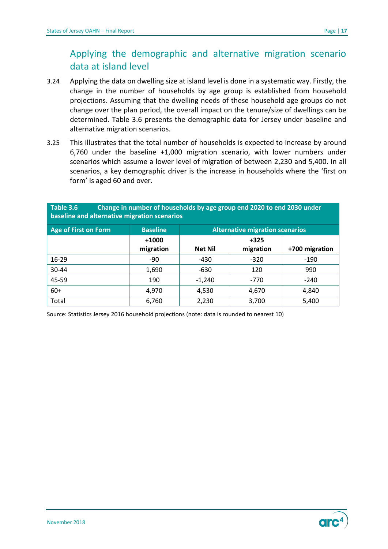### <span id="page-16-0"></span>Applying the demographic and alternative migration scenario data at island level

- 3.24 Applying the data on dwelling size at island level is done in a systematic way. Firstly, the change in the number of households by age group is established from household projections. Assuming that the dwelling needs of these household age groups do not change over the plan period, the overall impact on the tenure/size of dwellings can be determined. Table 3.6 presents the demographic data for Jersey under baseline and alternative migration scenarios.
- 3.25 This illustrates that the total number of households is expected to increase by around 6,760 under the baseline +1,000 migration scenario, with lower numbers under scenarios which assume a lower level of migration of between 2,230 and 5,400. In all scenarios, a key demographic driver is the increase in households where the 'first on form' is aged 60 and over.

<span id="page-16-1"></span>

| Table 3.6<br>Change in number of households by age group end 2020 to end 2030 under<br>baseline and alternative migration scenarios |                                                           |                |                     |                |  |  |
|-------------------------------------------------------------------------------------------------------------------------------------|-----------------------------------------------------------|----------------|---------------------|----------------|--|--|
| <b>Age of First on Form</b>                                                                                                         | <b>Baseline</b><br><b>Alternative migration scenarios</b> |                |                     |                |  |  |
|                                                                                                                                     | $+1000$<br>migration                                      | <b>Net Nil</b> | $+325$<br>migration | +700 migration |  |  |
| $16 - 29$                                                                                                                           | -90                                                       | $-430$         | $-320$              | $-190$         |  |  |
| $30 - 44$                                                                                                                           | 1,690                                                     | $-630$         | 120                 | 990            |  |  |
| 45-59                                                                                                                               | 190                                                       | $-1,240$       | $-770$              | $-240$         |  |  |
| $60+$                                                                                                                               | 4,970                                                     | 4,530          | 4,670               | 4,840          |  |  |
| Total                                                                                                                               | 6,760                                                     | 2,230          | 3,700               | 5,400          |  |  |

Source: Statistics Jersey 2016 household projections (note: data is rounded to nearest 10)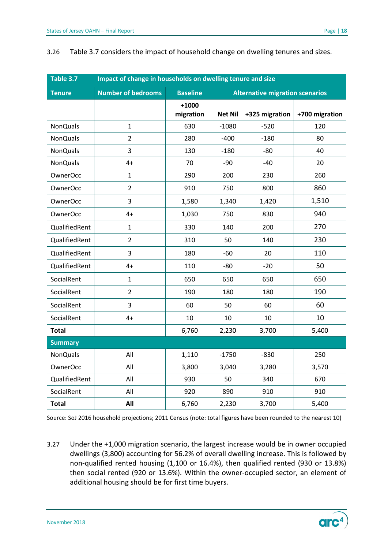<span id="page-17-0"></span>

| Impact of change in households on dwelling tenure and size<br>Table 3.7 |                           |                      |                                        |                |                |  |
|-------------------------------------------------------------------------|---------------------------|----------------------|----------------------------------------|----------------|----------------|--|
| <b>Tenure</b>                                                           | <b>Number of bedrooms</b> | <b>Baseline</b>      | <b>Alternative migration scenarios</b> |                |                |  |
|                                                                         |                           | $+1000$<br>migration | <b>Net Nil</b>                         | +325 migration | +700 migration |  |
| <b>NonQuals</b>                                                         | $\mathbf{1}$              | 630                  | $-1080$                                | $-520$         | 120            |  |
| <b>NonQuals</b>                                                         | $\overline{2}$            | 280                  | $-400$                                 | $-180$         | 80             |  |
| <b>NonQuals</b>                                                         | 3                         | 130                  | $-180$                                 | $-80$          | 40             |  |
| <b>NonQuals</b>                                                         | $4+$                      | 70                   | $-90$                                  | $-40$          | 20             |  |
| <b>OwnerOcc</b>                                                         | $\mathbf{1}$              | 290                  | 200                                    | 230            | 260            |  |
| <b>OwnerOcc</b>                                                         | $\overline{2}$            | 910                  | 750                                    | 800            | 860            |  |
| <b>OwnerOcc</b>                                                         | 3                         | 1,580                | 1,340                                  | 1,420          | 1,510          |  |
| <b>OwnerOcc</b>                                                         | $4+$                      | 1,030                | 750                                    | 830            | 940            |  |
| QualifiedRent                                                           | $\mathbf{1}$              | 330                  | 140                                    | 200            | 270            |  |
| QualifiedRent                                                           | $\overline{2}$            | 310                  | 50                                     | 140            | 230            |  |
| QualifiedRent                                                           | 3                         | 180                  | $-60$                                  | 20             | 110            |  |
| QualifiedRent                                                           | $4+$                      | 110                  | $-80$                                  | $-20$          | 50             |  |
| SocialRent                                                              | $\mathbf{1}$              | 650                  | 650                                    | 650            | 650            |  |
| SocialRent                                                              | $\overline{2}$            | 190                  | 180                                    | 180            | 190            |  |
| SocialRent                                                              | 3                         | 60                   | 50                                     | 60             | 60             |  |
| SocialRent                                                              | $4+$                      | 10                   | 10                                     | 10             | 10             |  |
| <b>Total</b>                                                            |                           | 6,760                | 2,230                                  | 3,700          | 5,400          |  |
| <b>Summary</b>                                                          |                           |                      |                                        |                |                |  |
| <b>NonQuals</b>                                                         | All                       | 1,110                | $-1750$                                | $-830$         | 250            |  |
| <b>OwnerOcc</b>                                                         | All                       | 3,800                | 3,040                                  | 3,280          | 3,570          |  |
| QualifiedRent                                                           | All                       | 930                  | 50                                     | 340            | 670            |  |
| SocialRent                                                              | All                       | 920                  | 890                                    | 910            | 910            |  |
| <b>Total</b>                                                            | All                       | 6,760                | 2,230                                  | 3,700          | 5,400          |  |

#### 3.26 Table 3.7 considers the impact of household change on dwelling tenures and sizes.

Source: SoJ 2016 household projections; 2011 Census (note: total figures have been rounded to the nearest 10)

3.27 Under the +1,000 migration scenario, the largest increase would be in owner occupied dwellings (3,800) accounting for 56.2% of overall dwelling increase. This is followed by non-qualified rented housing (1,100 or 16.4%), then qualified rented (930 or 13.8%) then social rented (920 or 13.6%). Within the owner-occupied sector, an element of additional housing should be for first time buyers.

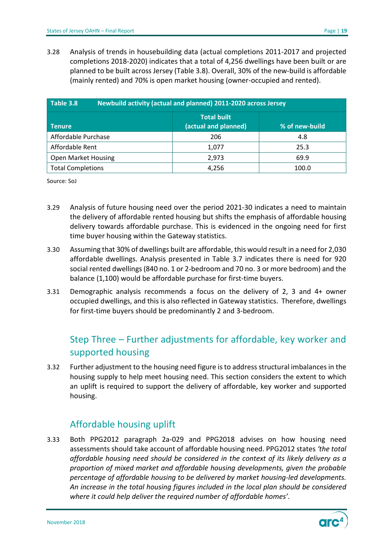3.28 Analysis of trends in housebuilding data (actual completions 2011-2017 and projected completions 2018-2020) indicates that a total of 4,256 dwellings have been built or are planned to be built across Jersey (Table 3.8). Overall, 30% of the new-build is affordable (mainly rented) and 70% is open market housing (owner-occupied and rented).

<span id="page-18-2"></span>

| Table 3.8                  | Newbuild activity (actual and planned) 2011-2020 across Jersey |                |  |  |  |  |  |
|----------------------------|----------------------------------------------------------------|----------------|--|--|--|--|--|
| <b>Tenure</b>              | <b>Total built</b><br>(actual and planned)                     | % of new-build |  |  |  |  |  |
| Affordable Purchase        | 206                                                            | 4.8            |  |  |  |  |  |
| Affordable Rent            | 1,077                                                          | 25.3           |  |  |  |  |  |
| <b>Open Market Housing</b> | 2,973                                                          |                |  |  |  |  |  |
| <b>Total Completions</b>   | 4,256                                                          | 100.0          |  |  |  |  |  |

Source: SoJ

- 3.29 Analysis of future housing need over the period 2021-30 indicates a need to maintain the delivery of affordable rented housing but shifts the emphasis of affordable housing delivery towards affordable purchase. This is evidenced in the ongoing need for first time buyer housing within the Gateway statistics.
- 3.30 Assuming that 30% of dwellings built are affordable, this would result in a need for 2,030 affordable dwellings. Analysis presented in Table 3.7 indicates there is need for 920 social rented dwellings (840 no. 1 or 2-bedroom and 70 no. 3 or more bedroom) and the balance (1,100) would be affordable purchase for first-time buyers.
- 3.31 Demographic analysis recommends a focus on the delivery of 2, 3 and 4+ owner occupied dwellings, and this is also reflected in Gateway statistics. Therefore, dwellings for first-time buyers should be predominantly 2 and 3-bedroom.

### <span id="page-18-0"></span>Step Three – Further adjustments for affordable, key worker and supported housing

3.32 Further adjustment to the housing need figure is to address structural imbalances in the housing supply to help meet housing need. This section considers the extent to which an uplift is required to support the delivery of affordable, key worker and supported housing.

#### <span id="page-18-1"></span>Affordable housing uplift

3.33 Both PPG2012 paragraph 2a-029 and PPG2018 advises on how housing need assessments should take account of affordable housing need. PPG2012 states *'the total affordable housing need should be considered in the context of its likely delivery as a proportion of mixed market and affordable housing developments, given the probable percentage of affordable housing to be delivered by market housing-led developments. An increase in the total housing figures included in the local plan should be considered where it could help deliver the required number of affordable homes'*.

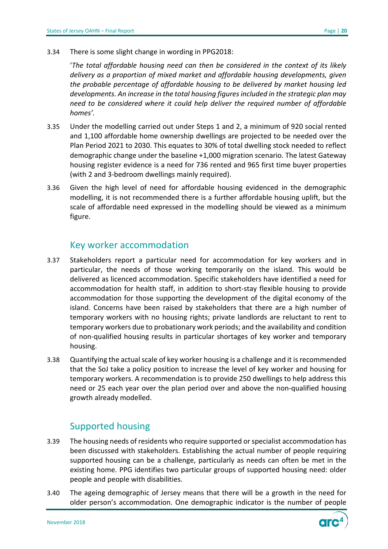3.34 There is some slight change in wording in PPG2018:

'*The total affordable housing need can then be considered in the context of its likely delivery as a proportion of mixed market and affordable housing developments, given the probable percentage of affordable housing to be delivered by market housing led developments. An increase in the total housing figures included in the strategic plan may need to be considered where it could help deliver the required number of affordable homes'.*

- 3.35 Under the modelling carried out under Steps 1 and 2, a minimum of 920 social rented and 1,100 affordable home ownership dwellings are projected to be needed over the Plan Period 2021 to 2030. This equates to 30% of total dwelling stock needed to reflect demographic change under the baseline +1,000 migration scenario. The latest Gateway housing register evidence is a need for 736 rented and 965 first time buyer properties (with 2 and 3-bedroom dwellings mainly required).
- 3.36 Given the high level of need for affordable housing evidenced in the demographic modelling, it is not recommended there is a further affordable housing uplift, but the scale of affordable need expressed in the modelling should be viewed as a minimum figure.

#### <span id="page-19-0"></span>Key worker accommodation

- 3.37 Stakeholders report a particular need for accommodation for key workers and in particular, the needs of those working temporarily on the island. This would be delivered as licenced accommodation. Specific stakeholders have identified a need for accommodation for health staff, in addition to short-stay flexible housing to provide accommodation for those supporting the development of the digital economy of the island. Concerns have been raised by stakeholders that there are a high number of temporary workers with no housing rights; private landlords are reluctant to rent to temporary workers due to probationary work periods; and the availability and condition of non-qualified housing results in particular shortages of key worker and temporary housing.
- 3.38 Quantifying the actual scale of key worker housing is a challenge and it is recommended that the SoJ take a policy position to increase the level of key worker and housing for temporary workers. A recommendation is to provide 250 dwellings to help address this need or 25 each year over the plan period over and above the non-qualified housing growth already modelled.

#### <span id="page-19-1"></span>Supported housing

- 3.39 The housing needs of residents who require supported or specialist accommodation has been discussed with stakeholders. Establishing the actual number of people requiring supported housing can be a challenge, particularly as needs can often be met in the existing home. PPG identifies two particular groups of supported housing need: older people and people with disabilities.
- 3.40 The ageing demographic of Jersey means that there will be a growth in the need for older person's accommodation. One demographic indicator is the number of people